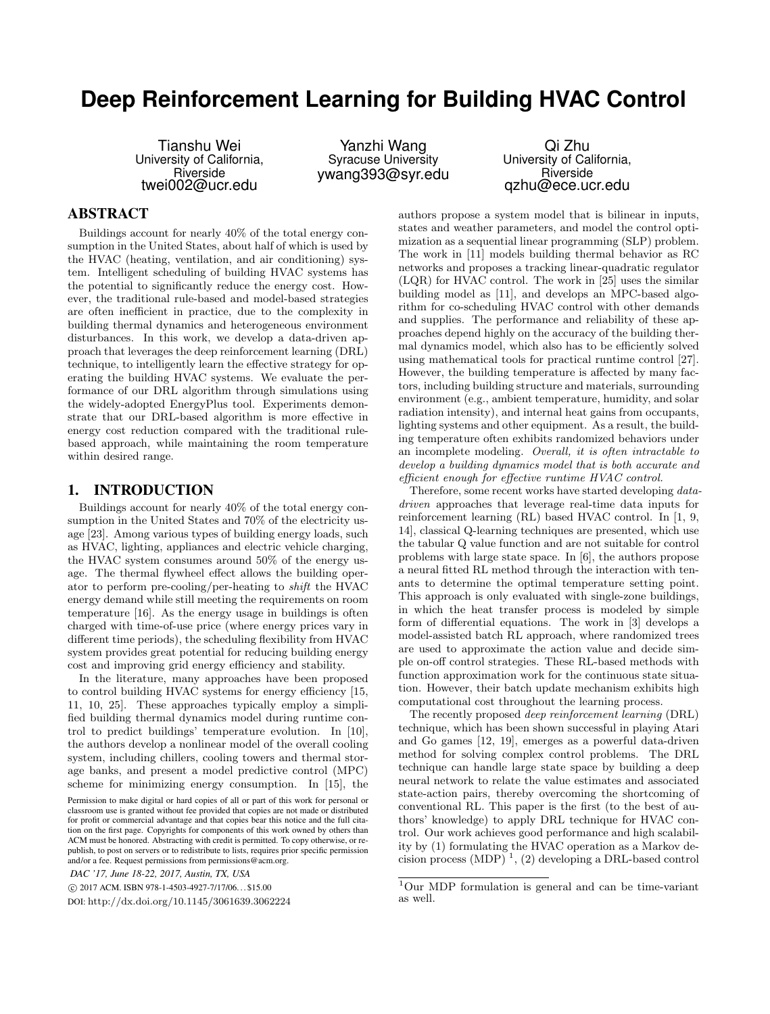# **Deep Reinforcement Learning for Building HVAC Control**

Tianshu Wei University of California, Riverside twei002@ucr.edu

Yanzhi Wang Syracuse University ywang393@syr.edu

Qi Zhu University of California, Riverside qzhu@ece.ucr.edu

## ABSTRACT

Buildings account for nearly 40% of the total energy consumption in the United States, about half of which is used by the HVAC (heating, ventilation, and air conditioning) system. Intelligent scheduling of building HVAC systems has the potential to significantly reduce the energy cost. However, the traditional rule-based and model-based strategies are often inefficient in practice, due to the complexity in building thermal dynamics and heterogeneous environment disturbances. In this work, we develop a data-driven approach that leverages the deep reinforcement learning (DRL) technique, to intelligently learn the effective strategy for operating the building HVAC systems. We evaluate the performance of our DRL algorithm through simulations using the widely-adopted EnergyPlus tool. Experiments demonstrate that our DRL-based algorithm is more effective in energy cost reduction compared with the traditional rulebased approach, while maintaining the room temperature within desired range.

## 1. INTRODUCTION

Buildings account for nearly 40% of the total energy consumption in the United States and 70% of the electricity usage [23]. Among various types of building energy loads, such as HVAC, lighting, appliances and electric vehicle charging, the HVAC system consumes around 50% of the energy usage. The thermal flywheel effect allows the building operator to perform pre-cooling/per-heating to shift the HVAC energy demand while still meeting the requirements on room temperature [16]. As the energy usage in buildings is often charged with time-of-use price (where energy prices vary in different time periods), the scheduling flexibility from HVAC system provides great potential for reducing building energy cost and improving grid energy efficiency and stability.

In the literature, many approaches have been proposed to control building HVAC systems for energy efficiency [15, 11, 10, 25]. These approaches typically employ a simplified building thermal dynamics model during runtime control to predict buildings' temperature evolution. In [10], the authors develop a nonlinear model of the overall cooling system, including chillers, cooling towers and thermal storage banks, and present a model predictive control (MPC) scheme for minimizing energy consumption. In [15], the

*DAC '17, June 18-22, 2017, Austin, TX, USA*

c 2017 ACM. ISBN 978-1-4503-4927-7/17/06. . . \$15.00

DOI: http://dx.doi.org/10.1145/3061639.3062224

authors propose a system model that is bilinear in inputs, states and weather parameters, and model the control optimization as a sequential linear programming (SLP) problem. The work in [11] models building thermal behavior as RC networks and proposes a tracking linear-quadratic regulator (LQR) for HVAC control. The work in [25] uses the similar building model as [11], and develops an MPC-based algorithm for co-scheduling HVAC control with other demands and supplies. The performance and reliability of these approaches depend highly on the accuracy of the building thermal dynamics model, which also has to be efficiently solved using mathematical tools for practical runtime control [27]. However, the building temperature is affected by many factors, including building structure and materials, surrounding environment (e.g., ambient temperature, humidity, and solar radiation intensity), and internal heat gains from occupants, lighting systems and other equipment. As a result, the building temperature often exhibits randomized behaviors under an incomplete modeling. Overall, it is often intractable to develop a building dynamics model that is both accurate and efficient enough for effective runtime HVAC control.

Therefore, some recent works have started developing *data*driven approaches that leverage real-time data inputs for reinforcement learning (RL) based HVAC control. In [1, 9, 14], classical Q-learning techniques are presented, which use the tabular Q value function and are not suitable for control problems with large state space. In [6], the authors propose a neural fitted RL method through the interaction with tenants to determine the optimal temperature setting point. This approach is only evaluated with single-zone buildings, in which the heat transfer process is modeled by simple form of differential equations. The work in [3] develops a model-assisted batch RL approach, where randomized trees are used to approximate the action value and decide simple on-off control strategies. These RL-based methods with function approximation work for the continuous state situation. However, their batch update mechanism exhibits high computational cost throughout the learning process.

The recently proposed deep reinforcement learning (DRL) technique, which has been shown successful in playing Atari and Go games [12, 19], emerges as a powerful data-driven method for solving complex control problems. The DRL technique can handle large state space by building a deep neural network to relate the value estimates and associated state-action pairs, thereby overcoming the shortcoming of conventional RL. This paper is the first (to the best of authors' knowledge) to apply DRL technique for HVAC control. Our work achieves good performance and high scalability by (1) formulating the HVAC operation as a Markov decision process  $(MDP)^1$ , (2) developing a DRL-based control

Permission to make digital or hard copies of all or part of this work for personal or classroom use is granted without fee provided that copies are not made or distributed for profit or commercial advantage and that copies bear this notice and the full citation on the first page. Copyrights for components of this work owned by others than ACM must be honored. Abstracting with credit is permitted. To copy otherwise, or republish, to post on servers or to redistribute to lists, requires prior specific permission and/or a fee. Request permissions from permissions@acm.org.

<sup>1</sup>Our MDP formulation is general and can be time-variant as well.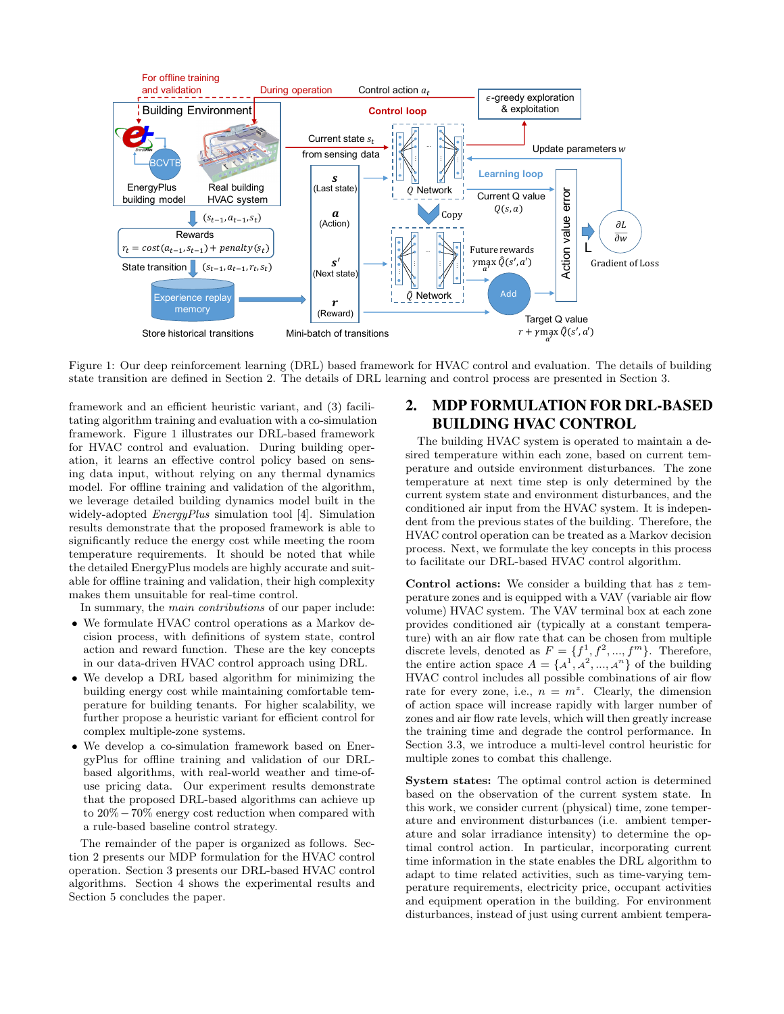

Figure 1: Our deep reinforcement learning (DRL) based framework for HVAC control and evaluation. The details of building state transition are defined in Section 2. The details of DRL learning and control process are presented in Section 3.

framework and an efficient heuristic variant, and (3) facilitating algorithm training and evaluation with a co-simulation framework. Figure 1 illustrates our DRL-based framework for HVAC control and evaluation. During building operation, it learns an effective control policy based on sensing data input, without relying on any thermal dynamics model. For offline training and validation of the algorithm, we leverage detailed building dynamics model built in the widely-adopted EnergyPlus simulation tool [4]. Simulation results demonstrate that the proposed framework is able to significantly reduce the energy cost while meeting the room temperature requirements. It should be noted that while the detailed EnergyPlus models are highly accurate and suitable for offline training and validation, their high complexity makes them unsuitable for real-time control.

In summary, the main contributions of our paper include:

- We formulate HVAC control operations as a Markov decision process, with definitions of system state, control action and reward function. These are the key concepts in our data-driven HVAC control approach using DRL.
- We develop a DRL based algorithm for minimizing the building energy cost while maintaining comfortable temperature for building tenants. For higher scalability, we further propose a heuristic variant for efficient control for complex multiple-zone systems.
- We develop a co-simulation framework based on EnergyPlus for offline training and validation of our DRLbased algorithms, with real-world weather and time-ofuse pricing data. Our experiment results demonstrate that the proposed DRL-based algorithms can achieve up to 20%−70% energy cost reduction when compared with a rule-based baseline control strategy.

The remainder of the paper is organized as follows. Section 2 presents our MDP formulation for the HVAC control operation. Section 3 presents our DRL-based HVAC control algorithms. Section 4 shows the experimental results and Section 5 concludes the paper.

# 2. MDP FORMULATION FOR DRL-BASED BUILDING HVAC CONTROL

The building HVAC system is operated to maintain a desired temperature within each zone, based on current temperature and outside environment disturbances. The zone temperature at next time step is only determined by the current system state and environment disturbances, and the conditioned air input from the HVAC system. It is independent from the previous states of the building. Therefore, the HVAC control operation can be treated as a Markov decision process. Next, we formulate the key concepts in this process to facilitate our DRL-based HVAC control algorithm.

Control actions: We consider a building that has  $z$  temperature zones and is equipped with a VAV (variable air flow volume) HVAC system. The VAV terminal box at each zone provides conditioned air (typically at a constant temperature) with an air flow rate that can be chosen from multiple discrete levels, denoted as  $F = \{f^1, f^2, ..., f^m\}$ . Therefore, the entire action space  $A = \{A^1, A^2, ..., A^n\}$  of the building HVAC control includes all possible combinations of air flow rate for every zone, i.e.,  $n = m^z$ . Clearly, the dimension of action space will increase rapidly with larger number of zones and air flow rate levels, which will then greatly increase the training time and degrade the control performance. In Section 3.3, we introduce a multi-level control heuristic for multiple zones to combat this challenge.

System states: The optimal control action is determined based on the observation of the current system state. In this work, we consider current (physical) time, zone temperature and environment disturbances (i.e. ambient temperature and solar irradiance intensity) to determine the optimal control action. In particular, incorporating current time information in the state enables the DRL algorithm to adapt to time related activities, such as time-varying temperature requirements, electricity price, occupant activities and equipment operation in the building. For environment disturbances, instead of just using current ambient tempera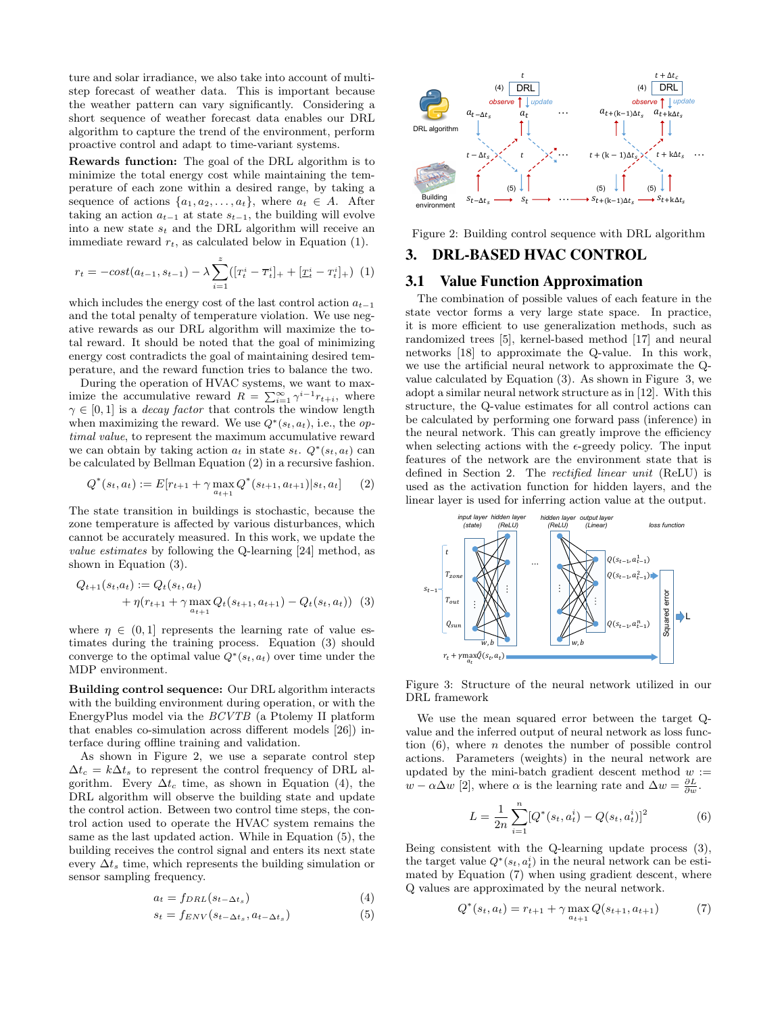ture and solar irradiance, we also take into account of multistep forecast of weather data. This is important because the weather pattern can vary significantly. Considering a short sequence of weather forecast data enables our DRL algorithm to capture the trend of the environment, perform proactive control and adapt to time-variant systems.

Rewards function: The goal of the DRL algorithm is to minimize the total energy cost while maintaining the temperature of each zone within a desired range, by taking a sequence of actions  $\{a_1, a_2, \ldots, a_t\}$ , where  $a_t \in A$ . After taking an action  $a_{t-1}$  at state  $s_{t-1}$ , the building will evolve into a new state  $s_t$  and the DRL algorithm will receive an immediate reward  $r_t$ , as calculated below in Equation (1).

$$
r_{t} = -\cos t(a_{t-1}, s_{t-1}) - \lambda \sum_{i=1}^{z} ([T_{t}^{i} - \overline{T}_{t}^{i}]_{+} + [\underline{T}_{t}^{i} - T_{t}^{i}]_{+}) (1)
$$

which includes the energy cost of the last control action  $a_{t-1}$ and the total penalty of temperature violation. We use negative rewards as our DRL algorithm will maximize the total reward. It should be noted that the goal of minimizing energy cost contradicts the goal of maintaining desired temperature, and the reward function tries to balance the two.

During the operation of HVAC systems, we want to maximize the accumulative reward  $R = \sum_{i=1}^{\infty} \gamma^{i-1} r_{t+i}$ , where  $\gamma \in [0, 1]$  is a *decay factor* that controls the window length when maximizing the reward. We use  $Q^*(s_t, a_t)$ , i.e., the optimal value, to represent the maximum accumulative reward we can obtain by taking action  $a_t$  in state  $s_t$ .  $Q^*(s_t, a_t)$  can be calculated by Bellman Equation (2) in a recursive fashion.

$$
Q^*(s_t, a_t) := E[r_{t+1} + \gamma \max_{a_{t+1}} Q^*(s_{t+1}, a_{t+1}) | s_t, a_t]
$$
 (2)

The state transition in buildings is stochastic, because the zone temperature is affected by various disturbances, which cannot be accurately measured. In this work, we update the value estimates by following the Q-learning [24] method, as shown in Equation (3).

$$
Q_{t+1}(s_t, a_t) := Q_t(s_t, a_t)
$$
  
+  $\eta(r_{t+1} + \gamma \max_{a_{t+1}} Q_t(s_{t+1}, a_{t+1}) - Q_t(s_t, a_t))$  (3)

where  $\eta \in (0,1]$  represents the learning rate of value estimates during the training process. Equation (3) should converge to the optimal value  $Q^*(s_t, a_t)$  over time under the MDP environment.

Building control sequence: Our DRL algorithm interacts with the building environment during operation, or with the EnergyPlus model via the BCVTB (a Ptolemy II platform that enables co-simulation across different models [26]) interface during offline training and validation.

As shown in Figure 2, we use a separate control step  $\Delta t_c = k \Delta t_s$  to represent the control frequency of DRL algorithm. Every  $\Delta t_c$  time, as shown in Equation (4), the DRL algorithm will observe the building state and update the control action. Between two control time steps, the control action used to operate the HVAC system remains the same as the last updated action. While in Equation (5), the building receives the control signal and enters its next state every  $\Delta t_s$  time, which represents the building simulation or sensor sampling frequency.

$$
a_t = f_{DRL}(s_{t-\Delta t_s})\tag{4}
$$

$$
s_t = f_{ENV}(s_{t-\Delta t_s}, a_{t-\Delta t_s})
$$
\n<sup>(5)</sup>



Figure 2: Building control sequence with DRL algorithm

# 3. DRL-BASED HVAC CONTROL

## 3.1 Value Function Approximation

The combination of possible values of each feature in the state vector forms a very large state space. In practice, it is more efficient to use generalization methods, such as randomized trees [5], kernel-based method [17] and neural networks [18] to approximate the Q-value. In this work, we use the artificial neural network to approximate the Qvalue calculated by Equation (3). As shown in Figure 3, we adopt a similar neural network structure as in [12]. With this structure, the Q-value estimates for all control actions can be calculated by performing one forward pass (inference) in the neural network. This can greatly improve the efficiency when selecting actions with the  $\epsilon$ -greedy policy. The input features of the network are the environment state that is defined in Section 2. The rectified linear unit (ReLU) is used as the activation function for hidden layers, and the linear layer is used for inferring action value at the output.



Figure 3: Structure of the neural network utilized in our DRL framework

We use the mean squared error between the target Qvalue and the inferred output of neural network as loss function  $(6)$ , where *n* denotes the number of possible control actions. Parameters (weights) in the neural network are updated by the mini-batch gradient descent method  $w :=$  $w - \alpha \Delta w$  [2], where  $\alpha$  is the learning rate and  $\Delta w = \frac{\partial L}{\partial w}$ .

$$
L = \frac{1}{2n} \sum_{i=1}^{n} [Q^*(s_t, a_t^i) - Q(s_t, a_t^i)]^2
$$
 (6)

Being consistent with the Q-learning update process (3), the target value  $Q^*(s_t, a_t^i)$  in the neural network can be estimated by Equation (7) when using gradient descent, where Q values are approximated by the neural network.

$$
Q^*(s_t, a_t) = r_{t+1} + \gamma \max_{a_{t+1}} Q(s_{t+1}, a_{t+1})
$$
(7)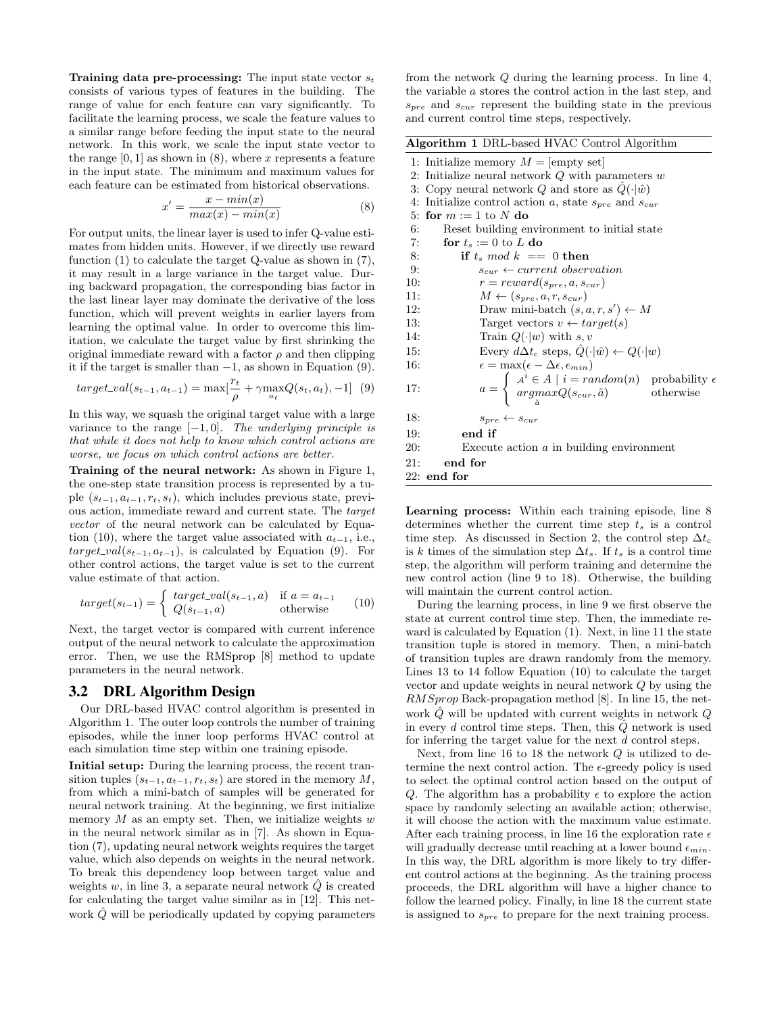Training data pre-processing: The input state vector  $s_t$ consists of various types of features in the building. The range of value for each feature can vary significantly. To facilitate the learning process, we scale the feature values to a similar range before feeding the input state to the neural network. In this work, we scale the input state vector to the range  $[0, 1]$  as shown in  $(8)$ , where x represents a feature in the input state. The minimum and maximum values for each feature can be estimated from historical observations.

$$
x' = \frac{x - \min(x)}{\max(x) - \min(x)}\tag{8}
$$

For output units, the linear layer is used to infer Q-value estimates from hidden units. However, if we directly use reward function (1) to calculate the target Q-value as shown in (7), it may result in a large variance in the target value. During backward propagation, the corresponding bias factor in the last linear layer may dominate the derivative of the loss function, which will prevent weights in earlier layers from learning the optimal value. In order to overcome this limitation, we calculate the target value by first shrinking the original immediate reward with a factor  $\rho$  and then clipping it if the target is smaller than  $-1$ , as shown in Equation (9).

$$
target\_val(s_{t-1}, a_{t-1}) = \max[\frac{r_t}{\rho} + \gamma \max_{a_t} Q(s_t, a_t), -1] \tag{9}
$$

In this way, we squash the original target value with a large variance to the range  $[-1, 0]$ . The underlying principle is that while it does not help to know which control actions are worse, we focus on which control actions are better.

Training of the neural network: As shown in Figure 1, the one-step state transition process is represented by a tuple  $(s_{t-1}, a_{t-1}, r_t, s_t)$ , which includes previous state, previous action, immediate reward and current state. The target vector of the neural network can be calculated by Equation (10), where the target value associated with  $a_{t-1}$ , i.e.,  $target\_val(s_{t-1}, a_{t-1})$ , is calculated by Equation (9). For other control actions, the target value is set to the current value estimate of that action.

$$
target(s_{t-1}) = \begin{cases} target\_val(s_{t-1}, a) & \text{if } a = a_{t-1} \\ Q(s_{t-1}, a) & \text{otherwise} \end{cases}
$$
(10)

Next, the target vector is compared with current inference output of the neural network to calculate the approximation error. Then, we use the RMSprop [8] method to update parameters in the neural network.

#### 3.2 DRL Algorithm Design

Our DRL-based HVAC control algorithm is presented in Algorithm 1. The outer loop controls the number of training episodes, while the inner loop performs HVAC control at each simulation time step within one training episode.

Initial setup: During the learning process, the recent transition tuples  $(s_{t-1}, a_{t-1}, r_t, s_t)$  are stored in the memory  $M$ , from which a mini-batch of samples will be generated for neural network training. At the beginning, we first initialize memory  $M$  as an empty set. Then, we initialize weights  $w$ in the neural network similar as in [7]. As shown in Equation (7), updating neural network weights requires the target value, which also depends on weights in the neural network. To break this dependency loop between target value and weights w, in line 3, a separate neural network  $\hat{Q}$  is created for calculating the target value similar as in [12]. This network  $\hat{Q}$  will be periodically updated by copying parameters from the network Q during the learning process. In line 4, the variable a stores the control action in the last step, and  $s_{pre}$  and  $s_{cur}$  represent the building state in the previous and current control time steps, respectively.

| <b>Algorithm 1 DRL-based HVAC Control Algorithm</b>                                                                                                                                                                                |  |  |  |
|------------------------------------------------------------------------------------------------------------------------------------------------------------------------------------------------------------------------------------|--|--|--|
| 1: Initialize memory $M =  $ empty set                                                                                                                                                                                             |  |  |  |
| 2. Initialize neural network $Q$ with parameters $w$                                                                                                                                                                               |  |  |  |
| 3: Copy neural network Q and store as $Q(\cdot \hat{w})$                                                                                                                                                                           |  |  |  |
| 4: Initialize control action a, state $s_{pre}$ and $s_{cur}$                                                                                                                                                                      |  |  |  |
| 5: for $m := 1$ to N do                                                                                                                                                                                                            |  |  |  |
| 6:<br>Reset building environment to initial state                                                                                                                                                                                  |  |  |  |
| 7:<br>for $t_s := 0$ to L do                                                                                                                                                                                                       |  |  |  |
| if $t_s \mod k == 0$ then<br>8:                                                                                                                                                                                                    |  |  |  |
| 9:<br>$s_{cur} \leftarrow current\ observation$                                                                                                                                                                                    |  |  |  |
| $r = reward(s_{pre}, a, s_{cur})$<br>10:                                                                                                                                                                                           |  |  |  |
| $M \leftarrow (s_{pre}, a, r, s_{cur})$<br>11:                                                                                                                                                                                     |  |  |  |
| Draw mini-batch $(s, a, r, s') \leftarrow M$<br>12:                                                                                                                                                                                |  |  |  |
| Target vectors $v \leftarrow target(s)$<br>13:                                                                                                                                                                                     |  |  |  |
| Train $Q(\cdot w)$ with s, v<br>14:                                                                                                                                                                                                |  |  |  |
| Every $d\Delta t_c$ steps, $\hat{Q}(\cdot \hat{w}) \leftarrow Q(\cdot w)$<br>15:                                                                                                                                                   |  |  |  |
| $\epsilon = \max(\epsilon - \Delta \epsilon, \epsilon_{min})$<br>16:                                                                                                                                                               |  |  |  |
|                                                                                                                                                                                                                                    |  |  |  |
| $a = \left\{ \begin{array}{ll} \scriptstyle \mathcal{A}^i \in A \mid i = \mathit{random}(n) & \text{probability } \epsilon \\ \scriptstyle argmax_{\tilde{a}} Q(s_{cur}, \tilde{a}) & \text{otherwise} \end{array} \right.$<br>17: |  |  |  |
| 18:<br>$s_{\textit{pre}} \leftarrow s_{\textit{cur}}$                                                                                                                                                                              |  |  |  |
| end if<br>19:                                                                                                                                                                                                                      |  |  |  |
| <b>20:</b><br>Execute action $a$ in building environment                                                                                                                                                                           |  |  |  |
| end for<br>21:                                                                                                                                                                                                                     |  |  |  |
| $22:$ end for                                                                                                                                                                                                                      |  |  |  |

Learning process: Within each training episode, line 8 determines whether the current time step  $t_s$  is a control time step. As discussed in Section 2, the control step  $\Delta t_c$ is k times of the simulation step  $\Delta t_s$ . If  $t_s$  is a control time step, the algorithm will perform training and determine the new control action (line 9 to 18). Otherwise, the building will maintain the current control action.

During the learning process, in line 9 we first observe the state at current control time step. Then, the immediate reward is calculated by Equation (1). Next, in line 11 the state transition tuple is stored in memory. Then, a mini-batch of transition tuples are drawn randomly from the memory. Lines 13 to 14 follow Equation (10) to calculate the target vector and update weights in neural network Q by using the RMSprop Back-propagation method [8]. In line 15, the network  $\hat{Q}$  will be updated with current weights in network  $Q$ in every d control time steps. Then, this  $\hat{Q}$  network is used for inferring the target value for the next d control steps.

Next, from line 16 to 18 the network  $Q$  is utilized to determine the next control action. The  $\epsilon$ -greedy policy is used to select the optimal control action based on the output of Q. The algorithm has a probability  $\epsilon$  to explore the action space by randomly selecting an available action; otherwise, it will choose the action with the maximum value estimate. After each training process, in line 16 the exploration rate  $\epsilon$ will gradually decrease until reaching at a lower bound  $\epsilon_{min}$ . In this way, the DRL algorithm is more likely to try different control actions at the beginning. As the training process proceeds, the DRL algorithm will have a higher chance to follow the learned policy. Finally, in line 18 the current state is assigned to spre to prepare for the next training process.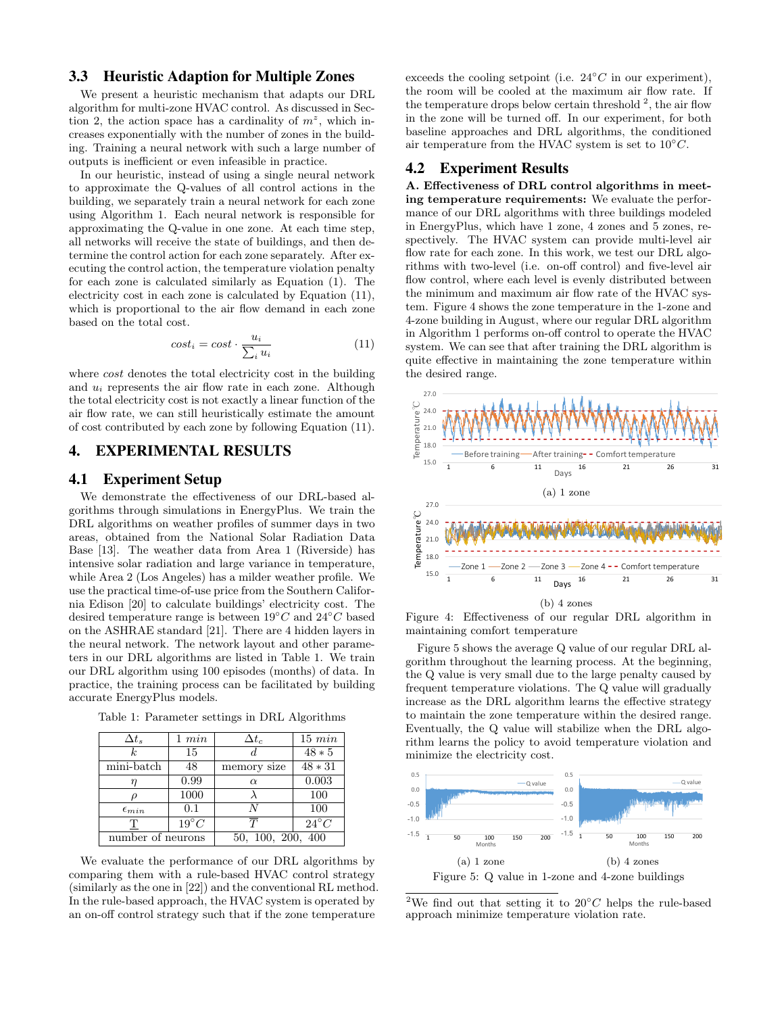## 3.3 Heuristic Adaption for Multiple Zones

We present a heuristic mechanism that adapts our DRL algorithm for multi-zone HVAC control. As discussed in Section 2, the action space has a cardinality of  $m^2$ , which increases exponentially with the number of zones in the building. Training a neural network with such a large number of outputs is inefficient or even infeasible in practice.

In our heuristic, instead of using a single neural network to approximate the Q-values of all control actions in the building, we separately train a neural network for each zone using Algorithm 1. Each neural network is responsible for approximating the Q-value in one zone. At each time step, all networks will receive the state of buildings, and then determine the control action for each zone separately. After executing the control action, the temperature violation penalty for each zone is calculated similarly as Equation (1). The electricity cost in each zone is calculated by Equation (11), which is proportional to the air flow demand in each zone based on the total cost.

$$
cost_i = cost \cdot \frac{u_i}{\sum_i u_i} \tag{11}
$$

where *cost* denotes the total electricity cost in the building and  $u_i$  represents the air flow rate in each zone. Although the total electricity cost is not exactly a linear function of the air flow rate, we can still heuristically estimate the amount of cost contributed by each zone by following Equation (11).

# 4. EXPERIMENTAL RESULTS

#### 4.1 Experiment Setup

We demonstrate the effectiveness of our DRL-based algorithms through simulations in EnergyPlus. We train the DRL algorithms on weather profiles of summer days in two areas, obtained from the National Solar Radiation Data Base [13]. The weather data from Area 1 (Riverside) has intensive solar radiation and large variance in temperature, while Area 2 (Los Angeles) has a milder weather profile. We use the practical time-of-use price from the Southern California Edison [20] to calculate buildings' electricity cost. The desired temperature range is between 19◦C and 24◦C based on the ASHRAE standard [21]. There are 4 hidden layers in the neural network. The network layout and other parameters in our DRL algorithms are listed in Table 1. We train our DRL algorithm using 100 episodes (months) of data. In practice, the training process can be facilitated by building accurate EnergyPlus models.

Table 1: Parameter settings in DRL Algorithms

| $\Delta t_s$      | $1 \, min$    | $\Delta t_c$      | $15 \; min$   |
|-------------------|---------------|-------------------|---------------|
| k.                | 15            |                   | $48 * 5$      |
| mini-batch        | 48            | memory size       | $48 * 31$     |
|                   | 0.99          | $\alpha$          | 0.003         |
|                   | 1000          |                   | 100           |
| $\epsilon_{min}$  | 0.1           | N                 | 100           |
|                   | $19^{\circ}C$ | T                 | $24^{\circ}C$ |
| number of neurons |               | 50, 100, 200, 400 |               |

We evaluate the performance of our DRL algorithms by comparing them with a rule-based HVAC control strategy (similarly as the one in [22]) and the conventional RL method. In the rule-based approach, the HVAC system is operated by an on-off control strategy such that if the zone temperature

exceeds the cooling setpoint (i.e.  $24\degree C$  in our experiment), the room will be cooled at the maximum air flow rate. If the temperature drops below certain threshold  $^2$ , the air flow in the zone will be turned off. In our experiment, for both baseline approaches and DRL algorithms, the conditioned air temperature from the HVAC system is set to  $10^{\circ}$ C.

## 4.2 Experiment Results

A. Effectiveness of DRL control algorithms in meeting temperature requirements: We evaluate the performance of our DRL algorithms with three buildings modeled in EnergyPlus, which have 1 zone, 4 zones and 5 zones, respectively. The HVAC system can provide multi-level air flow rate for each zone. In this work, we test our DRL algorithms with two-level (i.e. on-off control) and five-level air flow control, where each level is evenly distributed between the minimum and maximum air flow rate of the HVAC system. Figure 4 shows the zone temperature in the 1-zone and 4-zone building in August, where our regular DRL algorithm in Algorithm 1 performs on-off control to operate the HVAC system. We can see that after training the DRL algorithm is quite effective in maintaining the zone temperature within the desired range.



Figure 4: Effectiveness of our regular DRL algorithm in maintaining comfort temperature

Figure 5 shows the average Q value of our regular DRL algorithm throughout the learning process. At the beginning, the Q value is very small due to the large penalty caused by frequent temperature violations. The Q value will gradually increase as the DRL algorithm learns the effective strategy to maintain the zone temperature within the desired range. Eventually, the Q value will stabilize when the DRL algorithm learns the policy to avoid temperature violation and minimize the electricity cost.



<sup>&</sup>lt;sup>2</sup>We find out that setting it to  $20\degree C$  helps the rule-based approach minimize temperature violation rate.